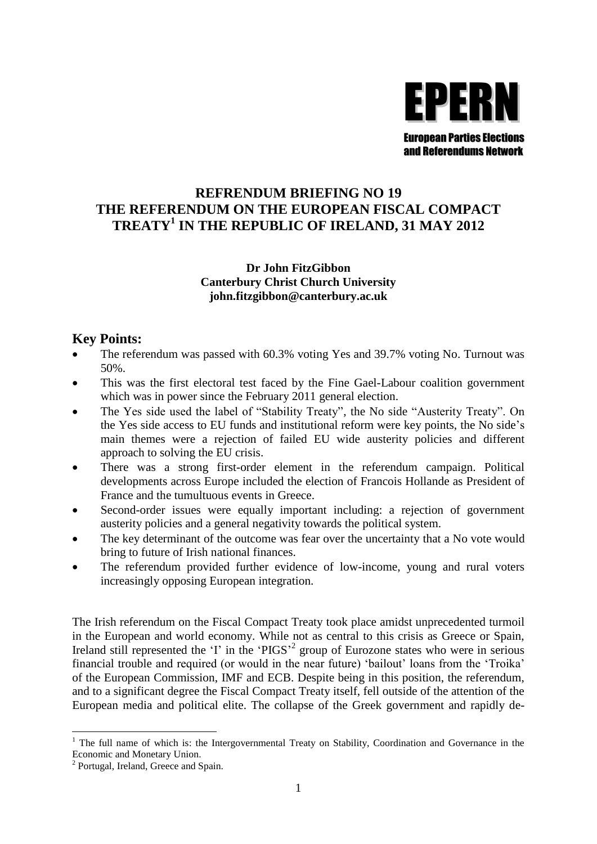

and Referendums Network

# **REFRENDUM BRIEFING NO 19 THE REFERENDUM ON THE EUROPEAN FISCAL COMPACT TREATY<sup>1</sup> IN THE REPUBLIC OF IRELAND, 31 MAY 2012**

### **Dr John FitzGibbon Canterbury Christ Church University john.fitzgibbon@canterbury.ac.uk**

# **Key Points:**

- The referendum was passed with 60.3% voting Yes and 39.7% voting No. Turnout was 50%.
- This was the first electoral test faced by the Fine Gael-Labour coalition government which was in power since the February 2011 general election.
- The Yes side used the label of "Stability Treaty", the No side "Austerity Treaty". On the Yes side access to EU funds and institutional reform were key points, the No side"s main themes were a rejection of failed EU wide austerity policies and different approach to solving the EU crisis.
- There was a strong first-order element in the referendum campaign. Political developments across Europe included the election of Francois Hollande as President of France and the tumultuous events in Greece.
- Second-order issues were equally important including: a rejection of government austerity policies and a general negativity towards the political system.
- The key determinant of the outcome was fear over the uncertainty that a No vote would bring to future of Irish national finances.
- The referendum provided further evidence of low-income, young and rural voters increasingly opposing European integration.

The Irish referendum on the Fiscal Compact Treaty took place amidst unprecedented turmoil in the European and world economy. While not as central to this crisis as Greece or Spain, Ireland still represented the 'I' in the 'PIGS'<sup>2</sup> group of Eurozone states who were in serious financial trouble and required (or would in the near future) 'bailout' loans from the 'Troika' of the European Commission, IMF and ECB. Despite being in this position, the referendum, and to a significant degree the Fiscal Compact Treaty itself, fell outside of the attention of the European media and political elite. The collapse of the Greek government and rapidly de-

<sup>1</sup>  $1$  The full name of which is: the Intergovernmental Treaty on Stability, Coordination and Governance in the Economic and Monetary Union.

<sup>&</sup>lt;sup>2</sup> Portugal, Ireland, Greece and Spain.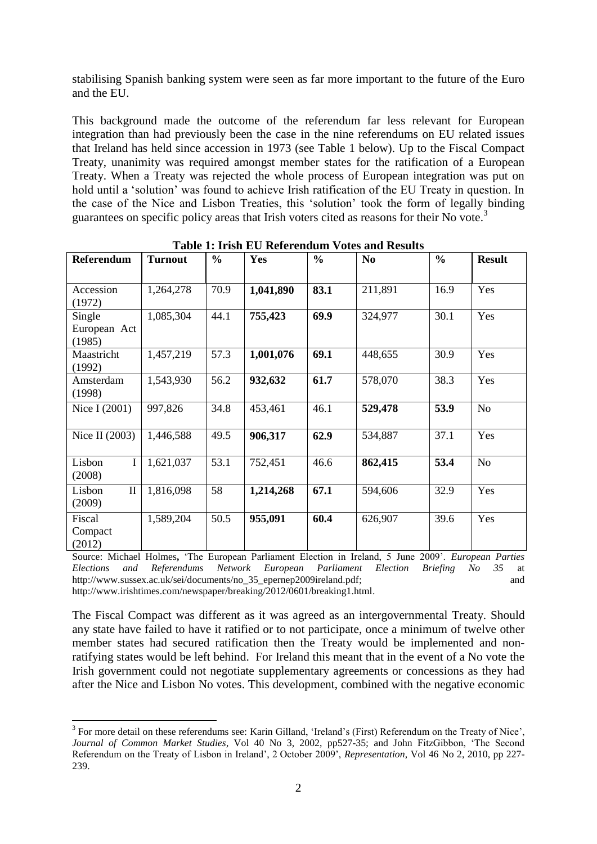stabilising Spanish banking system were seen as far more important to the future of the Euro and the EU.

This background made the outcome of the referendum far less relevant for European integration than had previously been the case in the nine referendums on EU related issues that Ireland has held since accession in 1973 (see Table 1 below). Up to the Fiscal Compact Treaty, unanimity was required amongst member states for the ratification of a European Treaty. When a Treaty was rejected the whole process of European integration was put on hold until a 'solution' was found to achieve Irish ratification of the EU Treaty in question. In the case of the Nice and Lisbon Treaties, this "solution" took the form of legally binding guarantees on specific policy areas that Irish voters cited as reasons for their No vote.<sup>3</sup>

| <b>Referendum</b>                | <b>Turnout</b> | $\frac{0}{0}$ | Yes       | $\frac{0}{0}$ | N <sub>0</sub> | $\frac{0}{0}$ | <b>Result</b>  |
|----------------------------------|----------------|---------------|-----------|---------------|----------------|---------------|----------------|
|                                  |                |               |           |               |                |               |                |
| Accession<br>(1972)              | 1,264,278      | 70.9          | 1,041,890 | 83.1          | 211,891        | 16.9          | Yes            |
| Single<br>European Act<br>(1985) | 1,085,304      | 44.1          | 755,423   | 69.9          | 324,977        | 30.1          | Yes            |
| Maastricht<br>(1992)             | 1,457,219      | 57.3          | 1,001,076 | 69.1          | 448,655        | 30.9          | Yes            |
| Amsterdam<br>(1998)              | 1,543,930      | 56.2          | 932,632   | 61.7          | 578,070        | 38.3          | Yes            |
| Nice I (2001)                    | 997,826        | 34.8          | 453,461   | 46.1          | 529,478        | 53.9          | N <sub>o</sub> |
| Nice II $(2003)$                 | 1,446,588      | 49.5          | 906,317   | 62.9          | 534,887        | 37.1          | Yes            |
| Lisbon<br>(2008)                 | 1,621,037      | 53.1          | 752,451   | 46.6          | 862,415        | 53.4          | N <sub>o</sub> |
| $\mathbf H$<br>Lisbon<br>(2009)  | 1,816,098      | 58            | 1,214,268 | 67.1          | 594,606        | 32.9          | Yes            |
| Fiscal<br>Compact<br>(2012)      | 1,589,204      | 50.5          | 955,091   | 60.4          | 626,907        | 39.6          | Yes            |

**Table 1: Irish EU Referendum Votes and Results**

Source: Michael Holmes**,** "The European Parliament Election in Ireland, 5 June 2009". *European Parties Elections and Referendums Network European Parliament Election Briefing No 35* at http://www.sussex.ac.uk/sei/documents/no\_35\_epernep2009ireland.pdf; and http://www.irishtimes.com/newspaper/breaking/2012/0601/breaking1.html.

The Fiscal Compact was different as it was agreed as an intergovernmental Treaty. Should any state have failed to have it ratified or to not participate, once a minimum of twelve other member states had secured ratification then the Treaty would be implemented and nonratifying states would be left behind. For Ireland this meant that in the event of a No vote the Irish government could not negotiate supplementary agreements or concessions as they had after the Nice and Lisbon No votes. This development, combined with the negative economic

**.** 

 $3$  For more detail on these referendums see: Karin Gilland, 'Ireland's (First) Referendum on the Treaty of Nice', *Journal of Common Market Studies*, Vol 40 No 3, 2002, pp527-35; and John FitzGibbon, "The Second Referendum on the Treaty of Lisbon in Ireland", 2 October 2009", *Representation*, Vol 46 No 2, 2010, pp 227- 239.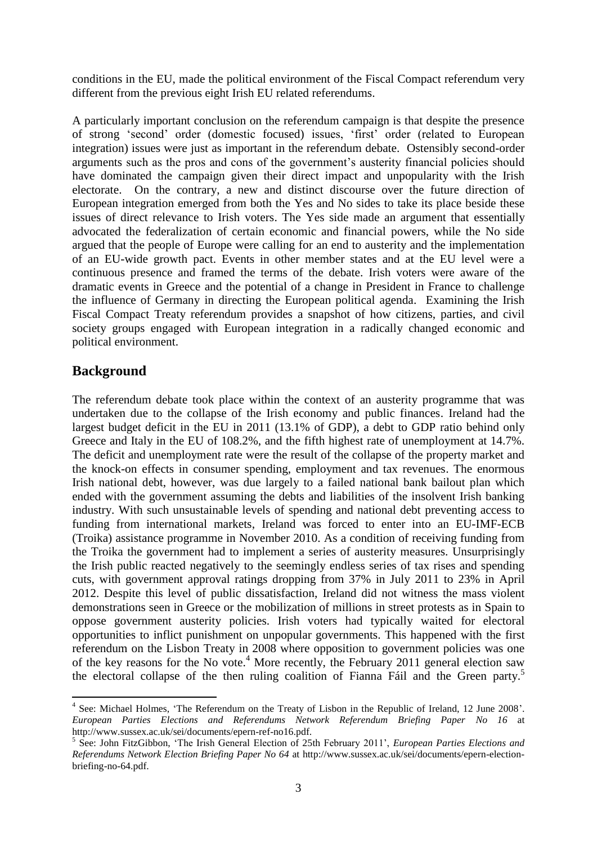conditions in the EU, made the political environment of the Fiscal Compact referendum very different from the previous eight Irish EU related referendums.

A particularly important conclusion on the referendum campaign is that despite the presence of strong "second" order (domestic focused) issues, "first" order (related to European integration) issues were just as important in the referendum debate. Ostensibly second-order arguments such as the pros and cons of the government's austerity financial policies should have dominated the campaign given their direct impact and unpopularity with the Irish electorate. On the contrary, a new and distinct discourse over the future direction of European integration emerged from both the Yes and No sides to take its place beside these issues of direct relevance to Irish voters. The Yes side made an argument that essentially advocated the federalization of certain economic and financial powers, while the No side argued that the people of Europe were calling for an end to austerity and the implementation of an EU-wide growth pact. Events in other member states and at the EU level were a continuous presence and framed the terms of the debate. Irish voters were aware of the dramatic events in Greece and the potential of a change in President in France to challenge the influence of Germany in directing the European political agenda. Examining the Irish Fiscal Compact Treaty referendum provides a snapshot of how citizens, parties, and civil society groups engaged with European integration in a radically changed economic and political environment.

# **Background**

The referendum debate took place within the context of an austerity programme that was undertaken due to the collapse of the Irish economy and public finances. Ireland had the largest budget deficit in the EU in 2011 (13.1% of GDP), a debt to GDP ratio behind only Greece and Italy in the EU of 108.2%, and the fifth highest rate of unemployment at 14.7%. The deficit and unemployment rate were the result of the collapse of the property market and the knock-on effects in consumer spending, employment and tax revenues. The enormous Irish national debt, however, was due largely to a failed national bank bailout plan which ended with the government assuming the debts and liabilities of the insolvent Irish banking industry. With such unsustainable levels of spending and national debt preventing access to funding from international markets, Ireland was forced to enter into an EU-IMF-ECB (Troika) assistance programme in November 2010. As a condition of receiving funding from the Troika the government had to implement a series of austerity measures. Unsurprisingly the Irish public reacted negatively to the seemingly endless series of tax rises and spending cuts, with government approval ratings dropping from 37% in July 2011 to 23% in April 2012. Despite this level of public dissatisfaction, Ireland did not witness the mass violent demonstrations seen in Greece or the mobilization of millions in street protests as in Spain to oppose government austerity policies. Irish voters had typically waited for electoral opportunities to inflict punishment on unpopular governments. This happened with the first referendum on the Lisbon Treaty in 2008 where opposition to government policies was one of the key reasons for the No vote. <sup>4</sup> More recently, the February 2011 general election saw the electoral collapse of the then ruling coalition of Fianna Fáil and the Green party. 5

<sup>4</sup> See: Michael Holmes, 'The Referendum on the Treaty of Lisbon in the Republic of Ireland, 12 June 2008'. *European Parties Elections and Referendums Network Referendum Briefing Paper No 16* at http://www.sussex.ac.uk/sei/documents/epern-ref-no16.pdf.

<sup>5</sup> See: John FitzGibbon, "The Irish General Election of 25th February 2011", *European Parties Elections and Referendums Network Election Briefing Paper No 64* at http://www.sussex.ac.uk/sei/documents/epern-electionbriefing-no-64.pdf.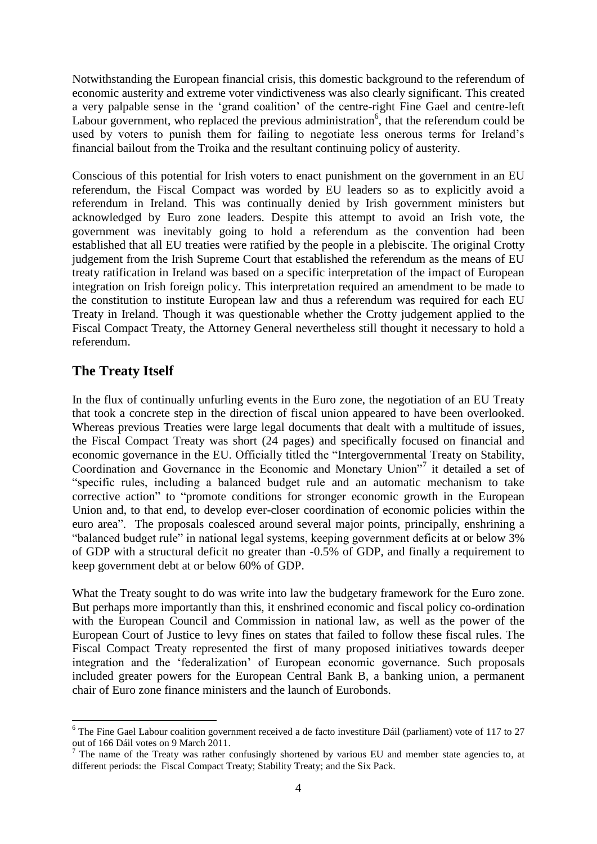Notwithstanding the European financial crisis, this domestic background to the referendum of economic austerity and extreme voter vindictiveness was also clearly significant. This created a very palpable sense in the "grand coalition" of the centre-right Fine Gael and centre-left Labour government, who replaced the previous administration  $\overline{6}$ , that the referendum could be used by voters to punish them for failing to negotiate less onerous terms for Ireland"s financial bailout from the Troika and the resultant continuing policy of austerity.

Conscious of this potential for Irish voters to enact punishment on the government in an EU referendum, the Fiscal Compact was worded by EU leaders so as to explicitly avoid a referendum in Ireland. This was continually denied by Irish government ministers but acknowledged by Euro zone leaders. Despite this attempt to avoid an Irish vote, the government was inevitably going to hold a referendum as the convention had been established that all EU treaties were ratified by the people in a plebiscite. The original Crotty judgement from the Irish Supreme Court that established the referendum as the means of EU treaty ratification in Ireland was based on a specific interpretation of the impact of European integration on Irish foreign policy. This interpretation required an amendment to be made to the constitution to institute European law and thus a referendum was required for each EU Treaty in Ireland. Though it was questionable whether the Crotty judgement applied to the Fiscal Compact Treaty, the Attorney General nevertheless still thought it necessary to hold a referendum.

# **The Treaty Itself**

**.** 

In the flux of continually unfurling events in the Euro zone, the negotiation of an EU Treaty that took a concrete step in the direction of fiscal union appeared to have been overlooked. Whereas previous Treaties were large legal documents that dealt with a multitude of issues, the Fiscal Compact Treaty was short (24 pages) and specifically focused on financial and economic governance in the EU. Officially titled the "Intergovernmental Treaty on Stability, Coordination and Governance in the Economic and Monetary Union"<sup>7</sup> it detailed a set of "specific rules, including a balanced budget rule and an automatic mechanism to take corrective action" to "promote conditions for stronger economic growth in the European Union and, to that end, to develop ever-closer coordination of economic policies within the euro area". The proposals coalesced around several major points, principally, enshrining a "balanced budget rule" in national legal systems, keeping government deficits at or below 3% of GDP with a structural deficit no greater than -0.5% of GDP, and finally a requirement to keep government debt at or below 60% of GDP.

What the Treaty sought to do was write into law the budgetary framework for the Euro zone. But perhaps more importantly than this, it enshrined economic and fiscal policy co-ordination with the European Council and Commission in national law, as well as the power of the European Court of Justice to levy fines on states that failed to follow these fiscal rules. The Fiscal Compact Treaty represented the first of many proposed initiatives towards deeper integration and the "federalization" of European economic governance. Such proposals included greater powers for the European Central Bank B, a banking union, a permanent chair of Euro zone finance ministers and the launch of Eurobonds.

<sup>&</sup>lt;sup>6</sup> The Fine Gael Labour coalition government received a de facto investiture Dáil (parliament) vote of 117 to 27 out of 166 Dáil votes on 9 March 2011.

<sup>&</sup>lt;sup>7</sup> The name of the Treaty was rather confusingly shortened by various EU and member state agencies to, at different periods: the Fiscal Compact Treaty; Stability Treaty; and the Six Pack.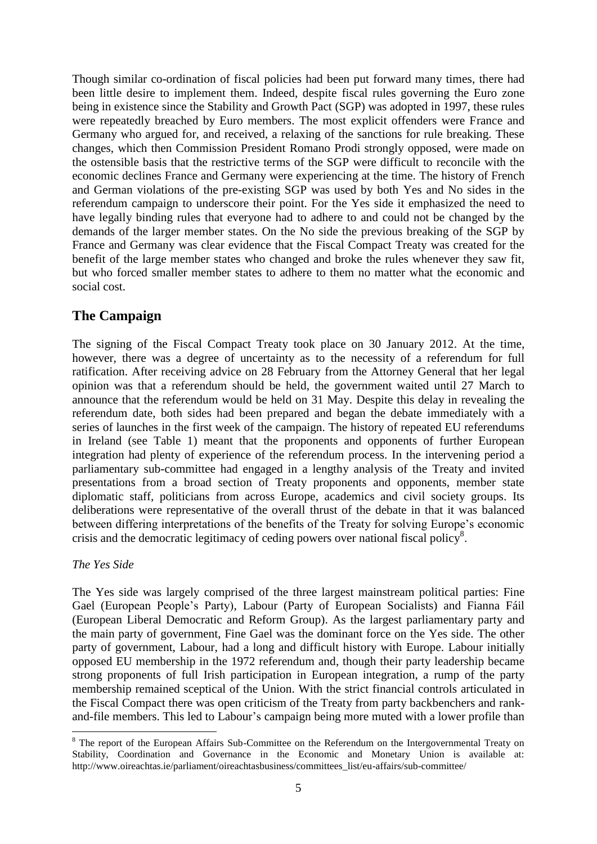Though similar co-ordination of fiscal policies had been put forward many times, there had been little desire to implement them. Indeed, despite fiscal rules governing the Euro zone being in existence since the Stability and Growth Pact (SGP) was adopted in 1997, these rules were repeatedly breached by Euro members. The most explicit offenders were France and Germany who argued for, and received, a relaxing of the sanctions for rule breaking. These changes, which then Commission President Romano Prodi strongly opposed, were made on the ostensible basis that the restrictive terms of the SGP were difficult to reconcile with the economic declines France and Germany were experiencing at the time. The history of French and German violations of the pre-existing SGP was used by both Yes and No sides in the referendum campaign to underscore their point. For the Yes side it emphasized the need to have legally binding rules that everyone had to adhere to and could not be changed by the demands of the larger member states. On the No side the previous breaking of the SGP by France and Germany was clear evidence that the Fiscal Compact Treaty was created for the benefit of the large member states who changed and broke the rules whenever they saw fit, but who forced smaller member states to adhere to them no matter what the economic and social cost.

# **The Campaign**

The signing of the Fiscal Compact Treaty took place on 30 January 2012. At the time, however, there was a degree of uncertainty as to the necessity of a referendum for full ratification. After receiving advice on 28 February from the Attorney General that her legal opinion was that a referendum should be held, the government waited until 27 March to announce that the referendum would be held on 31 May. Despite this delay in revealing the referendum date, both sides had been prepared and began the debate immediately with a series of launches in the first week of the campaign. The history of repeated EU referendums in Ireland (see Table 1) meant that the proponents and opponents of further European integration had plenty of experience of the referendum process. In the intervening period a parliamentary sub-committee had engaged in a lengthy analysis of the Treaty and invited presentations from a broad section of Treaty proponents and opponents, member state diplomatic staff, politicians from across Europe, academics and civil society groups. Its deliberations were representative of the overall thrust of the debate in that it was balanced between differing interpretations of the benefits of the Treaty for solving Europe"s economic crisis and the democratic legitimacy of ceding powers over national fiscal policy<sup>8</sup>.

### *The Yes Side*

The Yes side was largely comprised of the three largest mainstream political parties: Fine Gael (European People"s Party), Labour (Party of European Socialists) and Fianna Fáil (European Liberal Democratic and Reform Group). As the largest parliamentary party and the main party of government, Fine Gael was the dominant force on the Yes side. The other party of government, Labour, had a long and difficult history with Europe. Labour initially opposed EU membership in the 1972 referendum and, though their party leadership became strong proponents of full Irish participation in European integration, a rump of the party membership remained sceptical of the Union. With the strict financial controls articulated in the Fiscal Compact there was open criticism of the Treaty from party backbenchers and rankand-file members. This led to Labour's campaign being more muted with a lower profile than

<sup>1</sup> <sup>8</sup> The report of the European Affairs Sub-Committee on the Referendum on the Intergovernmental Treaty on Stability, Coordination and Governance in the Economic and Monetary Union is available at: [http://www.oireachtas.ie/parliament/oireachtasbusiness/committees\\_list/eu-affairs/sub-committee/](http://www.oireachtas.ie/parliament/oireachtasbusiness/committees_list/eu-affairs/sub-committee/)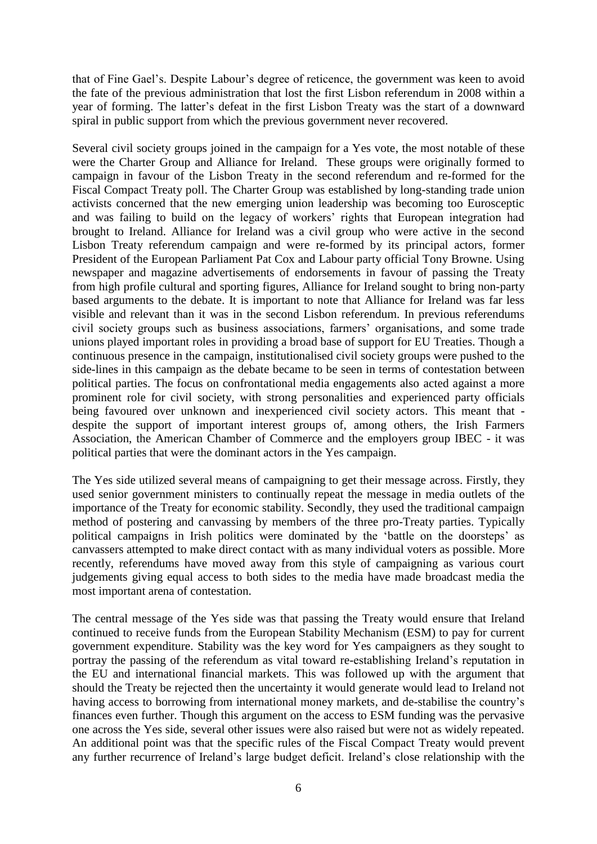that of Fine Gael"s. Despite Labour"s degree of reticence, the government was keen to avoid the fate of the previous administration that lost the first Lisbon referendum in 2008 within a year of forming. The latter"s defeat in the first Lisbon Treaty was the start of a downward spiral in public support from which the previous government never recovered.

Several civil society groups joined in the campaign for a Yes vote, the most notable of these were the Charter Group and Alliance for Ireland. These groups were originally formed to campaign in favour of the Lisbon Treaty in the second referendum and re-formed for the Fiscal Compact Treaty poll. The Charter Group was established by long-standing trade union activists concerned that the new emerging union leadership was becoming too Eurosceptic and was failing to build on the legacy of workers' rights that European integration had brought to Ireland. Alliance for Ireland was a civil group who were active in the second Lisbon Treaty referendum campaign and were re-formed by its principal actors, former President of the European Parliament Pat Cox and Labour party official Tony Browne. Using newspaper and magazine advertisements of endorsements in favour of passing the Treaty from high profile cultural and sporting figures, Alliance for Ireland sought to bring non-party based arguments to the debate. It is important to note that Alliance for Ireland was far less visible and relevant than it was in the second Lisbon referendum. In previous referendums civil society groups such as business associations, farmers" organisations, and some trade unions played important roles in providing a broad base of support for EU Treaties. Though a continuous presence in the campaign, institutionalised civil society groups were pushed to the side-lines in this campaign as the debate became to be seen in terms of contestation between political parties. The focus on confrontational media engagements also acted against a more prominent role for civil society, with strong personalities and experienced party officials being favoured over unknown and inexperienced civil society actors. This meant that despite the support of important interest groups of, among others, the Irish Farmers Association, the American Chamber of Commerce and the employers group IBEC - it was political parties that were the dominant actors in the Yes campaign.

The Yes side utilized several means of campaigning to get their message across. Firstly, they used senior government ministers to continually repeat the message in media outlets of the importance of the Treaty for economic stability. Secondly, they used the traditional campaign method of postering and canvassing by members of the three pro-Treaty parties. Typically political campaigns in Irish politics were dominated by the "battle on the doorsteps" as canvassers attempted to make direct contact with as many individual voters as possible. More recently, referendums have moved away from this style of campaigning as various court judgements giving equal access to both sides to the media have made broadcast media the most important arena of contestation.

The central message of the Yes side was that passing the Treaty would ensure that Ireland continued to receive funds from the European Stability Mechanism (ESM) to pay for current government expenditure. Stability was the key word for Yes campaigners as they sought to portray the passing of the referendum as vital toward re-establishing Ireland"s reputation in the EU and international financial markets. This was followed up with the argument that should the Treaty be rejected then the uncertainty it would generate would lead to Ireland not having access to borrowing from international money markets, and de-stabilise the country"s finances even further. Though this argument on the access to ESM funding was the pervasive one across the Yes side, several other issues were also raised but were not as widely repeated. An additional point was that the specific rules of the Fiscal Compact Treaty would prevent any further recurrence of Ireland"s large budget deficit. Ireland"s close relationship with the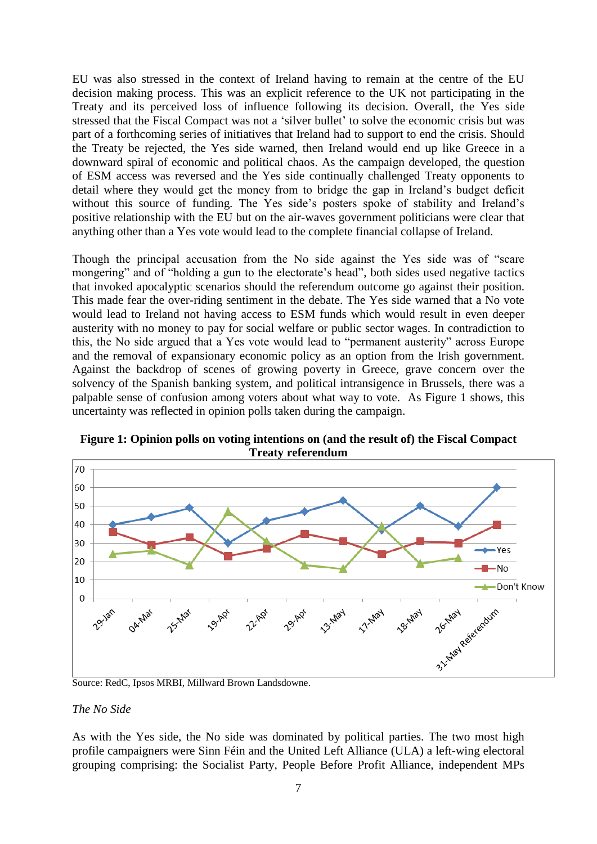EU was also stressed in the context of Ireland having to remain at the centre of the EU decision making process. This was an explicit reference to the UK not participating in the Treaty and its perceived loss of influence following its decision. Overall, the Yes side stressed that the Fiscal Compact was not a "silver bullet" to solve the economic crisis but was part of a forthcoming series of initiatives that Ireland had to support to end the crisis. Should the Treaty be rejected, the Yes side warned, then Ireland would end up like Greece in a downward spiral of economic and political chaos. As the campaign developed, the question of ESM access was reversed and the Yes side continually challenged Treaty opponents to detail where they would get the money from to bridge the gap in Ireland"s budget deficit without this source of funding. The Yes side"s posters spoke of stability and Ireland"s positive relationship with the EU but on the air-waves government politicians were clear that anything other than a Yes vote would lead to the complete financial collapse of Ireland.

Though the principal accusation from the No side against the Yes side was of "scare mongering" and of "holding a gun to the electorate's head", both sides used negative tactics that invoked apocalyptic scenarios should the referendum outcome go against their position. This made fear the over-riding sentiment in the debate. The Yes side warned that a No vote would lead to Ireland not having access to ESM funds which would result in even deeper austerity with no money to pay for social welfare or public sector wages. In contradiction to this, the No side argued that a Yes vote would lead to "permanent austerity" across Europe and the removal of expansionary economic policy as an option from the Irish government. Against the backdrop of scenes of growing poverty in Greece, grave concern over the solvency of the Spanish banking system, and political intransigence in Brussels, there was a palpable sense of confusion among voters about what way to vote. As Figure 1 shows, this uncertainty was reflected in opinion polls taken during the campaign.



**Figure 1: Opinion polls on voting intentions on (and the result of) the Fiscal Compact Treaty referendum**

Source: RedC, Ipsos MRBI, Millward Brown Landsdowne.



As with the Yes side, the No side was dominated by political parties. The two most high profile campaigners were Sinn Féin and the United Left Alliance (ULA) a left-wing electoral grouping comprising: the Socialist Party, People Before Profit Alliance, independent MPs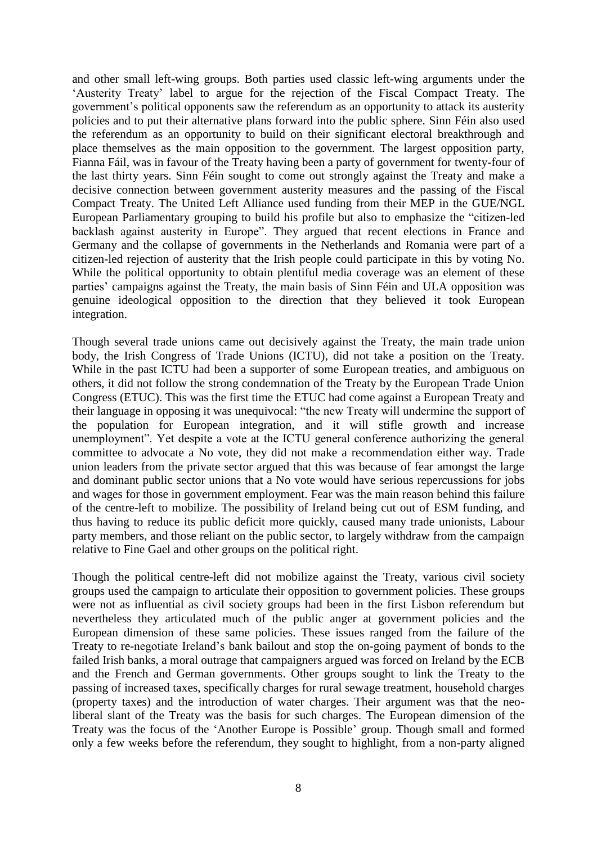and other small left-wing groups. Both parties used classic left-wing arguments under the "Austerity Treaty" label to argue for the rejection of the Fiscal Compact Treaty. The government"s political opponents saw the referendum as an opportunity to attack its austerity policies and to put their alternative plans forward into the public sphere. Sinn Féin also used the referendum as an opportunity to build on their significant electoral breakthrough and place themselves as the main opposition to the government. The largest opposition party, Fianna Fáil, was in favour of the Treaty having been a party of government for twenty-four of the last thirty years. Sinn Féin sought to come out strongly against the Treaty and make a decisive connection between government austerity measures and the passing of the Fiscal Compact Treaty. The United Left Alliance used funding from their MEP in the GUE/NGL European Parliamentary grouping to build his profile but also to emphasize the "citizen-led backlash against austerity in Europe". They argued that recent elections in France and Germany and the collapse of governments in the Netherlands and Romania were part of a citizen-led rejection of austerity that the Irish people could participate in this by voting No. While the political opportunity to obtain plentiful media coverage was an element of these parties' campaigns against the Treaty, the main basis of Sinn Féin and ULA opposition was genuine ideological opposition to the direction that they believed it took European integration.

Though several trade unions came out decisively against the Treaty, the main trade union body, the Irish Congress of Trade Unions (ICTU), did not take a position on the Treaty. While in the past ICTU had been a supporter of some European treaties, and ambiguous on others, it did not follow the strong condemnation of the Treaty by the European Trade Union Congress (ETUC). This was the first time the ETUC had come against a European Treaty and their language in opposing it was unequivocal: "the new Treaty will undermine the support of the population for European integration, and it will stifle growth and increase unemployment". Yet despite a vote at the ICTU general conference authorizing the general committee to advocate a No vote, they did not make a recommendation either way. Trade union leaders from the private sector argued that this was because of fear amongst the large and dominant public sector unions that a No vote would have serious repercussions for jobs and wages for those in government employment. Fear was the main reason behind this failure of the centre-left to mobilize. The possibility of Ireland being cut out of ESM funding, and thus having to reduce its public deficit more quickly, caused many trade unionists, Labour party members, and those reliant on the public sector, to largely withdraw from the campaign relative to Fine Gael and other groups on the political right.

Though the political centre-left did not mobilize against the Treaty, various civil society groups used the campaign to articulate their opposition to government policies. These groups were not as influential as civil society groups had been in the first Lisbon referendum but nevertheless they articulated much of the public anger at government policies and the European dimension of these same policies. These issues ranged from the failure of the Treaty to re-negotiate Ireland"s bank bailout and stop the on-going payment of bonds to the failed Irish banks, a moral outrage that campaigners argued was forced on Ireland by the ECB and the French and German governments. Other groups sought to link the Treaty to the passing of increased taxes, specifically charges for rural sewage treatment, household charges (property taxes) and the introduction of water charges. Their argument was that the neoliberal slant of the Treaty was the basis for such charges. The European dimension of the Treaty was the focus of the "Another Europe is Possible" group. Though small and formed only a few weeks before the referendum, they sought to highlight, from a non-party aligned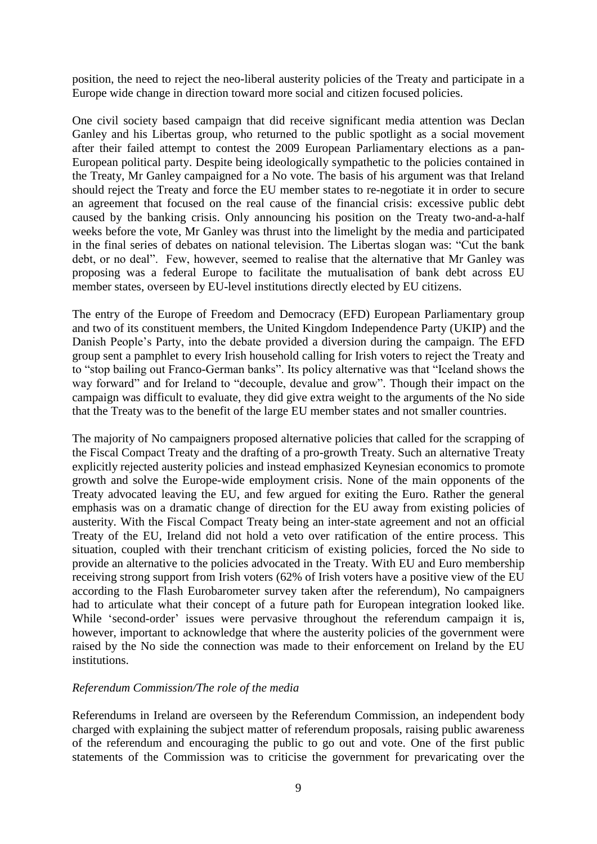position, the need to reject the neo-liberal austerity policies of the Treaty and participate in a Europe wide change in direction toward more social and citizen focused policies.

One civil society based campaign that did receive significant media attention was Declan Ganley and his Libertas group, who returned to the public spotlight as a social movement after their failed attempt to contest the 2009 European Parliamentary elections as a pan-European political party. Despite being ideologically sympathetic to the policies contained in the Treaty, Mr Ganley campaigned for a No vote. The basis of his argument was that Ireland should reject the Treaty and force the EU member states to re-negotiate it in order to secure an agreement that focused on the real cause of the financial crisis: excessive public debt caused by the banking crisis. Only announcing his position on the Treaty two-and-a-half weeks before the vote, Mr Ganley was thrust into the limelight by the media and participated in the final series of debates on national television. The Libertas slogan was: "Cut the bank debt, or no deal". Few, however, seemed to realise that the alternative that Mr Ganley was proposing was a federal Europe to facilitate the mutualisation of bank debt across EU member states, overseen by EU-level institutions directly elected by EU citizens.

The entry of the Europe of Freedom and Democracy (EFD) European Parliamentary group and two of its constituent members, the United Kingdom Independence Party (UKIP) and the Danish People"s Party, into the debate provided a diversion during the campaign. The EFD group sent a pamphlet to every Irish household calling for Irish voters to reject the Treaty and to "stop bailing out Franco-German banks". Its policy alternative was that "Iceland shows the way forward" and for Ireland to "decouple, devalue and grow". Though their impact on the campaign was difficult to evaluate, they did give extra weight to the arguments of the No side that the Treaty was to the benefit of the large EU member states and not smaller countries.

The majority of No campaigners proposed alternative policies that called for the scrapping of the Fiscal Compact Treaty and the drafting of a pro-growth Treaty. Such an alternative Treaty explicitly rejected austerity policies and instead emphasized Keynesian economics to promote growth and solve the Europe-wide employment crisis. None of the main opponents of the Treaty advocated leaving the EU, and few argued for exiting the Euro. Rather the general emphasis was on a dramatic change of direction for the EU away from existing policies of austerity. With the Fiscal Compact Treaty being an inter-state agreement and not an official Treaty of the EU, Ireland did not hold a veto over ratification of the entire process. This situation, coupled with their trenchant criticism of existing policies, forced the No side to provide an alternative to the policies advocated in the Treaty. With EU and Euro membership receiving strong support from Irish voters (62% of Irish voters have a positive view of the EU according to the Flash Eurobarometer survey taken after the referendum), No campaigners had to articulate what their concept of a future path for European integration looked like. While 'second-order' issues were pervasive throughout the referendum campaign it is, however, important to acknowledge that where the austerity policies of the government were raised by the No side the connection was made to their enforcement on Ireland by the EU institutions.

#### *Referendum Commission/The role of the media*

Referendums in Ireland are overseen by the Referendum Commission, an independent body charged with explaining the subject matter of referendum proposals, raising public awareness of the referendum and encouraging the public to go out and vote. One of the first public statements of the Commission was to criticise the government for prevaricating over the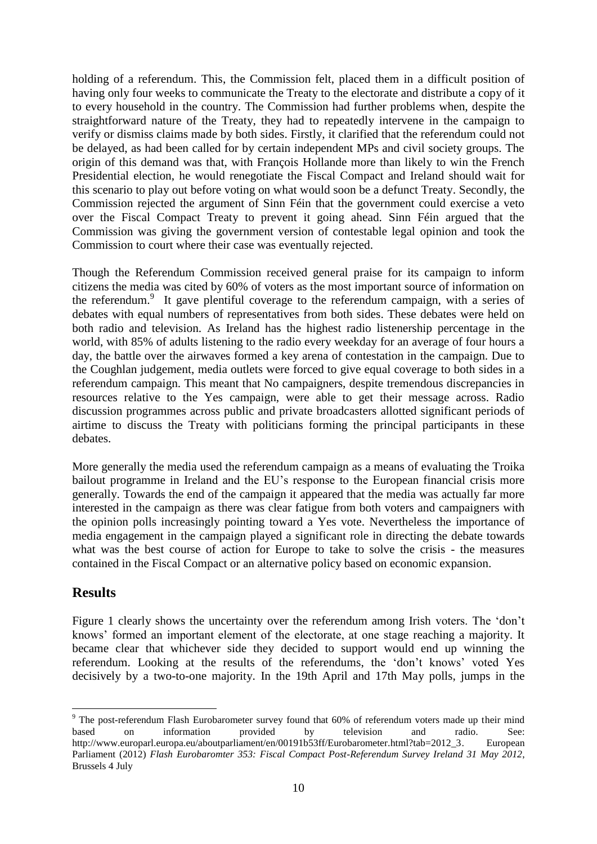holding of a referendum. This, the Commission felt, placed them in a difficult position of having only four weeks to communicate the Treaty to the electorate and distribute a copy of it to every household in the country. The Commission had further problems when, despite the straightforward nature of the Treaty, they had to repeatedly intervene in the campaign to verify or dismiss claims made by both sides. Firstly, it clarified that the referendum could not be delayed, as had been called for by certain independent MPs and civil society groups. The origin of this demand was that, with François Hollande more than likely to win the French Presidential election, he would renegotiate the Fiscal Compact and Ireland should wait for this scenario to play out before voting on what would soon be a defunct Treaty. Secondly, the Commission rejected the argument of Sinn Féin that the government could exercise a veto over the Fiscal Compact Treaty to prevent it going ahead. Sinn Féin argued that the Commission was giving the government version of contestable legal opinion and took the Commission to court where their case was eventually rejected.

Though the Referendum Commission received general praise for its campaign to inform citizens the media was cited by 60% of voters as the most important source of information on the referendum.<sup>9</sup> It gave plentiful coverage to the referendum campaign, with a series of debates with equal numbers of representatives from both sides. These debates were held on both radio and television. As Ireland has the highest radio listenership percentage in the world, with 85% of adults listening to the radio every weekday for an average of four hours a day, the battle over the airwaves formed a key arena of contestation in the campaign. Due to the Coughlan judgement, media outlets were forced to give equal coverage to both sides in a referendum campaign. This meant that No campaigners, despite tremendous discrepancies in resources relative to the Yes campaign, were able to get their message across. Radio discussion programmes across public and private broadcasters allotted significant periods of airtime to discuss the Treaty with politicians forming the principal participants in these debates.

More generally the media used the referendum campaign as a means of evaluating the Troika bailout programme in Ireland and the EU"s response to the European financial crisis more generally. Towards the end of the campaign it appeared that the media was actually far more interested in the campaign as there was clear fatigue from both voters and campaigners with the opinion polls increasingly pointing toward a Yes vote. Nevertheless the importance of media engagement in the campaign played a significant role in directing the debate towards what was the best course of action for Europe to take to solve the crisis - the measures contained in the Fiscal Compact or an alternative policy based on economic expansion.

## **Results**

Figure 1 clearly shows the uncertainty over the referendum among Irish voters. The "don"t knows" formed an important element of the electorate, at one stage reaching a majority. It became clear that whichever side they decided to support would end up winning the referendum. Looking at the results of the referendums, the "don"t knows" voted Yes decisively by a two-to-one majority. In the 19th April and 17th May polls, jumps in the

The post-referendum Flash Eurobarometer survey found that 60% of referendum voters made up their mind based on information provided by television and radio. See: http://www.europarl.europa.eu/aboutparliament/en/00191b53ff/Eurobarometer.html?tab=2012\_3. European Parliament (2012) *Flash Eurobaromter 353: Fiscal Compact Post-Referendum Survey Ireland 31 May 2012*, Brussels 4 July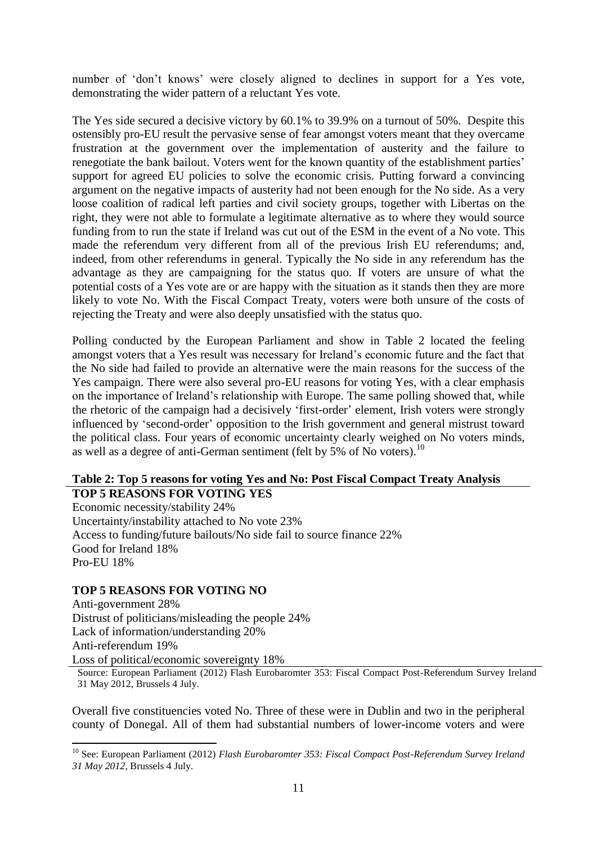number of 'don't knows' were closely aligned to declines in support for a Yes vote, demonstrating the wider pattern of a reluctant Yes vote.

The Yes side secured a decisive victory by 60.1% to 39.9% on a turnout of 50%. Despite this ostensibly pro-EU result the pervasive sense of fear amongst voters meant that they overcame frustration at the government over the implementation of austerity and the failure to renegotiate the bank bailout. Voters went for the known quantity of the establishment parties" support for agreed EU policies to solve the economic crisis. Putting forward a convincing argument on the negative impacts of austerity had not been enough for the No side. As a very loose coalition of radical left parties and civil society groups, together with Libertas on the right, they were not able to formulate a legitimate alternative as to where they would source funding from to run the state if Ireland was cut out of the ESM in the event of a No vote. This made the referendum very different from all of the previous Irish EU referendums; and, indeed, from other referendums in general. Typically the No side in any referendum has the advantage as they are campaigning for the status quo. If voters are unsure of what the potential costs of a Yes vote are or are happy with the situation as it stands then they are more likely to vote No. With the Fiscal Compact Treaty, voters were both unsure of the costs of rejecting the Treaty and were also deeply unsatisfied with the status quo.

Polling conducted by the European Parliament and show in Table 2 located the feeling amongst voters that a Yes result was necessary for Ireland"s economic future and the fact that the No side had failed to provide an alternative were the main reasons for the success of the Yes campaign. There were also several pro-EU reasons for voting Yes, with a clear emphasis on the importance of Ireland"s relationship with Europe. The same polling showed that, while the rhetoric of the campaign had a decisively 'first-order' element, Irish voters were strongly influenced by "second-order" opposition to the Irish government and general mistrust toward the political class. Four years of economic uncertainty clearly weighed on No voters minds, as well as a degree of anti-German sentiment (felt by  $\overline{5\%}$  of No voters).<sup>10</sup>

#### **Table 2: Top 5 reasons for voting Yes and No: Post Fiscal Compact Treaty Analysis TOP 5 REASONS FOR VOTING YES**

Economic necessity/stability 24% Uncertainty/instability attached to No vote 23% Access to funding/future bailouts/No side fail to source finance 22% Good for Ireland 18% Pro-EU 18%

#### **TOP 5 REASONS FOR VOTING NO**

**.** 

Anti-government 28% Distrust of politicians/misleading the people 24% Lack of information/understanding 20% Anti-referendum 19% Loss of political/economic sovereignty 18%

Source: European Parliament (2012) Flash Eurobaromter 353: Fiscal Compact Post-Referendum Survey Ireland 31 May 2012, Brussels 4 July.

Overall five constituencies voted No. Three of these were in Dublin and two in the peripheral county of Donegal. All of them had substantial numbers of lower-income voters and were

<sup>10</sup> See: European Parliament (2012) *Flash Eurobaromter 353: Fiscal Compact Post-Referendum Survey Ireland 31 May 2012*, Brussels 4 July.